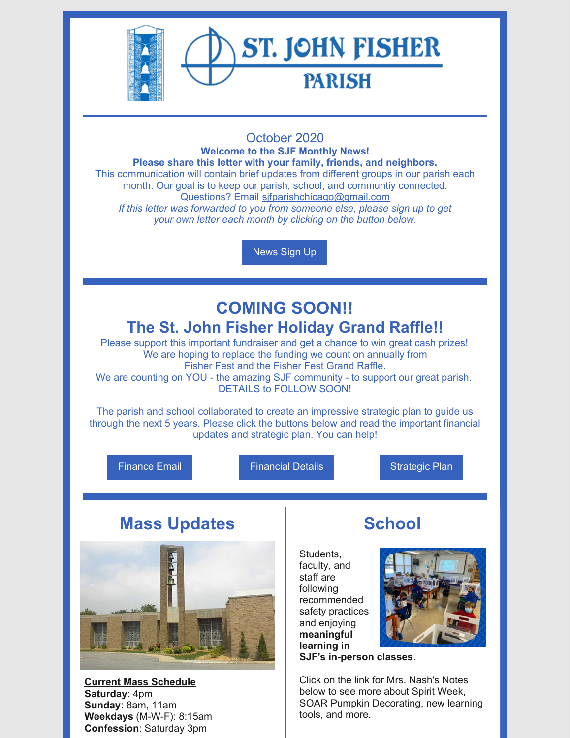

## October 2020

**Welcome to the SJF Monthly News! Please share this letter with your family, friends, and neighbors.** This communication will contain brief updates from different groups in our parish each month. Our goal is to keep our parish, school, and communtiy connected. Questions? Email [sjfparishchicago@gmail.com](mailto:sjfparishchicago@gmail.com) *If this letter was forwarded to you from someone else, please sign up to get your own letter each month by clicking on the button below.*

[News](https://docs.google.com/forms/d/e/1FAIpQLSey4SlJOgpZFdzyTJAg0kyqzXphBqVOrwQeI0U8MzsWtt6Hvg/viewform?usp=sf_link) Sign Up

# **COMING SOON!! The St. John Fisher Holiday Grand Raffle!!**

Please support this important fundraiser and get a chance to win great cash prizes! We are hoping to replace the funding we count on annually from Fisher Fest and the Fisher Fest Grand Raffle.

We are counting on YOU - the amazing SJF community - to support our great parish. DETAILS to FOLLOW SOON!

The parish and school collaborated to create an impressive strategic plan to guide us through the next 5 years. Please click the buttons below and read the important financial updates and strategic plan. You can help!

[Finance](http://www.stjohnfisherparish.net/important-sjf-financial-update/) Email **[Financial](http://www.stjohnfisherparish.net/assets/3/6/SJF_Finance_Letter_2020Oct01.pdf) Details Financial Details** [Strategic](http://www.stjohnfisherparish.net/assets/3/6/SJF_Strategic_Plan_Full_Final.pdf) Plan

## **Mass Updates**



**Current Mass Schedule Saturday**: 4pm **Sunday**: 8am, 11am **Weekdays** (M-W-F): 8:15am **Confession**: Saturday 3pm

# **School**

Students, faculty, and staff are following recommended safety practices and enjoying **meaningful learning in SJF's in-person classes**.



Click on the link for Mrs. Nash's Notes below to see more about Spirit Week, SOAR Pumpkin Decorating, new learning tools, and more.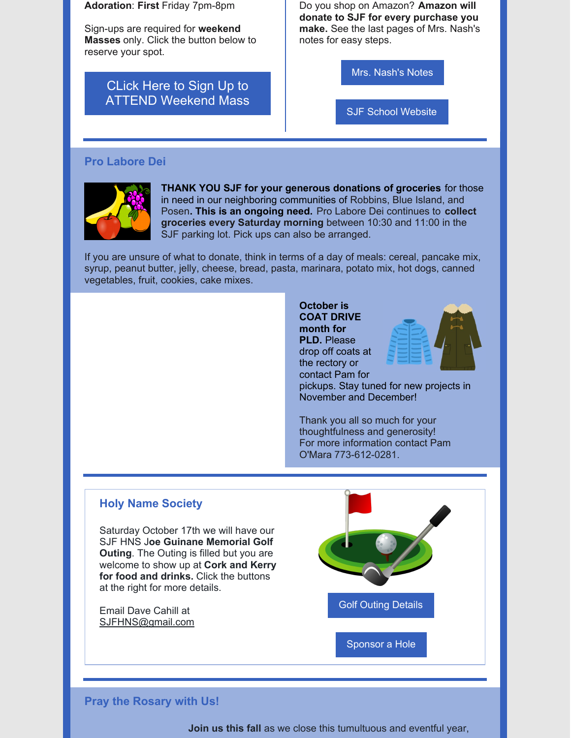**Adoration**: **First** Friday 7pm-8pm

Sign-ups are required for **weekend Masses** only. Click the button below to reserve your spot.

> CLick Here to Sign Up to ATTEND [Weekend](https://www.signupgenius.com/go/20f0448a9aa2aa7f85-stjohn) Mass

Do you shop on Amazon? **Amazon will donate to SJF for every purchase you make.** See the last pages of Mrs. Nash's notes for easy steps.

Mrs. [Nash's](https://www.sjfschool.net/assets/1/16/Notes_From_Mrs._Nash,_October_8,_2020.pdf?5661) Notes

SJF School [Website](https://www.sjfschool.net/)

#### **Pro Labore Dei**



**THANK YOU SJF for your generous donations of groceries** for those in need in our neighboring communities of Robbins, Blue Island, and Posen**. This is an ongoing need.** Pro Labore Dei continues to **collect groceries every Saturday morning** between 10:30 and 11:00 in the SJF parking lot. Pick ups can also be arranged.

If you are unsure of what to donate, think in terms of a day of meals: cereal, pancake mix, syrup, peanut butter, jelly, cheese, bread, pasta, marinara, potato mix, hot dogs, canned vegetables, fruit, cookies, cake mixes.

#### **October is COAT DRIVE month for PLD.** Please drop off coats at the rectory or



contact Pam for pickups. Stay tuned for new projects in November and December!

Thank you all so much for your thoughtfulness and generosity! For more information contact Pam O'Mara 773-612-0281.

#### **Holy Name Society**

Saturday October 17th we will have our SJF HNS J**oe Guinane Memorial Golf Outing**. The Outing is filled but you are welcome to show up at **Cork and Kerry for food and drinks.** Click the buttons at the right for more details.

Email Dave Cahill at [SJFHNS@gmail.com](mailto:SJFHNS@gmail.com)

Golf Outing [Details](https://www.sjfschool.net/assets/1/16/2020_Golf_Outing_Flyer_(1)_(1).pdf?5664)

[Sponsor](https://www.sjfschool.net/assets/1/16/Golf_Outing_Sponsorship_Form_(2).pdf?5665) a Hole

#### **Pray the Rosary with Us!**

**Join us this fall** as we close this tumultuous and eventful year,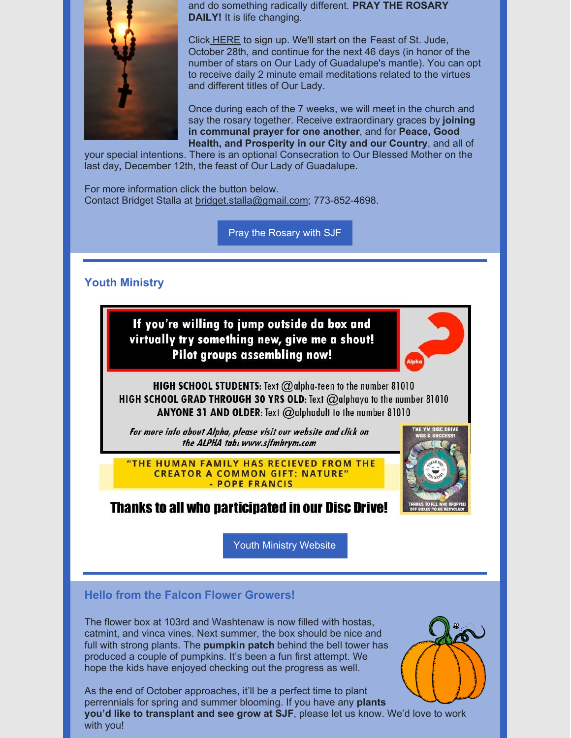

and do something radically different. **PRAY THE ROSARY DAILY!** It is life changing.

Click [HERE](https://docs.google.com/forms/d/e/1FAIpQLSdB7UsmbaR5QvpN5JYV3sDyUSaanQH9FMd9cqNW9UQ6xmvWrA/viewform) to sign up. We'll start on the Feast of St. Jude, October 28th, and continue for the next 46 days (in honor of the number of stars on Our Lady of Guadalupe's mantle). You can opt to receive daily 2 minute email meditations related to the virtues and different titles of Our Lady.

Once during each of the 7 weeks, we will meet in the church and say the rosary together. Receive extraordinary graces by **joining in communal prayer for one another**, and for **Peace, Good Health, and Prosperity in our City and our Country**, and all of

your special intentions. There is an optional Consecration to Our Blessed Mother on the last day**,** December 12th, the feast of Our Lady of Guadalupe.

For more information click the button below. Contact Bridget Stalla at [bridget.stalla@gmail.com](mailto:bridget.stalla@gmail.com); 773-852-4698.

Pray the [Rosary](https://www.sjfschool.net/assets/1/16/Rosary_Challenge1.pdf?5670) with SJF

### **Youth Ministry**





**HIGH SCHOOL STUDENTS:** Text  $@$  alpha-teen to the number 81010 **HIGH SCHOOL GRAD THROUGH 30 YRS OLD:** Text  $@$  alphaya to the number 81010 **ANYONE 31 AND OLDER:** Text  $@$  alphadult to the number 81010

For more info about Alpha, please visit our website and click on the ALPHA tab: www.sjfmhrym.com

"THE HUMAN FAMILY HAS RECIEVED FROM THE **CREATOR A COMMON GIFT: NATURE"** - POPE FRANCIS



**Thanks to all who participated in our Disc Drive!** 

Youth Ministry [Website](https://www.sjfmhrym.com/)

## **Hello from the Falcon Flower Growers!**

The flower box at 103rd and Washtenaw is now filled with hostas, catmint, and vinca vines. Next summer, the box should be nice and full with strong plants. The **pumpkin patch** behind the bell tower has produced a couple of pumpkins. It's been a fun first attempt. We hope the kids have enjoyed checking out the progress as well.



As the end of October approaches, it'll be a perfect time to plant perrennials for spring and summer blooming. If you have any **plants you'd like to transplant and see grow at SJF**, please let us know. We'd love to work with you!